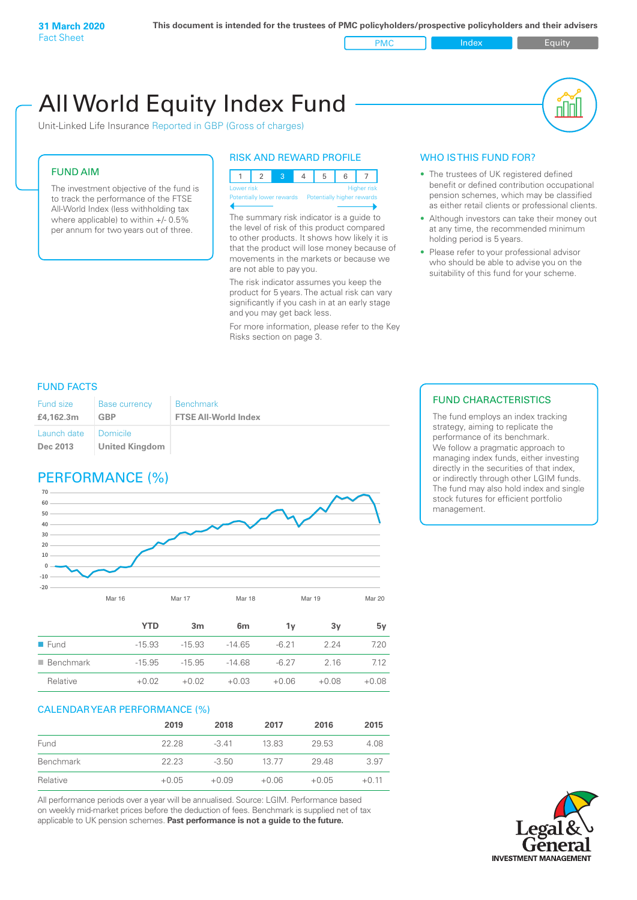PMC Index PMC Equity

# All World Equity Index Fund

Unit-Linked Life Insurance Reported in GBP (Gross of charges)

# FUND AIM

The investment objective of the fund is to track the performance of the FTSE All-World Index (less withholding tax where applicable) to within +/- 0.5% per annum for two years out of three.

# RISK AND REWARD PROFILE

|                                                      | Lower risk |  |  |  | <b>Higher risk</b> |
|------------------------------------------------------|------------|--|--|--|--------------------|
| Potentially lower rewards Potentially higher rewards |            |  |  |  |                    |

The summary risk indicator is a guide to the level of risk of this product compared to other products. It shows how likely it is that the product will lose money because of movements in the markets or because we are not able to pay you.

The risk indicator assumes you keep the product for 5 years. The actual risk can vary significantly if you cash in at an early stage and you may get back less.

For more information, please refer to the Key Risks section on page 3.

# WHO IS THIS FUND FOR?

- The trustees of UK registered defined benefit or defined contribution occupational pension schemes, which may be classified as either retail clients or professional clients.
- Although investors can take their money out at any time, the recommended minimum holding period is 5 years.
- Please refer to your professional advisor who should be able to advise you on the suitability of this fund for your scheme.

# FUND FACTS

| Fund size<br>£4,162.3m | <b>Base currency</b><br><b>GBP</b> | Benchmark<br><b>FTSE All-World Index</b> |
|------------------------|------------------------------------|------------------------------------------|
| Launch date            | Domicile                           |                                          |
| Dec 2013               | <b>United Kingdom</b>              |                                          |

# PERFORMANCE (%)



|                          | YTD      | 3 <sub>m</sub> | 6m       | 1v      | 3v      | 5v      |
|--------------------------|----------|----------------|----------|---------|---------|---------|
| $\blacksquare$ Fund      | $-15.93$ | $-15.93$       | $-14.65$ | $-6.21$ | 224     | 7.20    |
| $\blacksquare$ Benchmark | $-15.95$ | $-15.95$       | $-14.68$ | $-6.27$ | 2.16    | 7.12    |
| Relative                 | $+0.02$  | $+0.02$        | $+0.03$  | $+0.06$ | $+0.08$ | $+0.08$ |

### CALENDAR YEAR PERFORMANCE (%)

|           | 2019    | 2018    | 2017    | 2016    | 2015    |
|-----------|---------|---------|---------|---------|---------|
| Fund      | 22.28   | $-3.41$ | 13.83   | 29.53   | 4.08    |
| Benchmark | 22.23   | $-3.50$ | 13.77   | 2948    | 3.97    |
| Relative  | $+0.05$ | $+0.09$ | $+0.06$ | $+0.05$ | $+0.11$ |

All performance periods over a year will be annualised. Source: LGIM. Performance based on weekly mid-market prices before the deduction of fees. Benchmark is supplied net of tax applicable to UK pension schemes. **Past performance is not a guide to the future.**

# FUND CHARACTERISTICS

The fund employs an index tracking strategy, aiming to replicate the performance of its benchmark. We follow a pragmatic approach to managing index funds, either investing directly in the securities of that index, or indirectly through other LGIM funds. The fund may also hold index and single stock futures for efficient portfolio management.

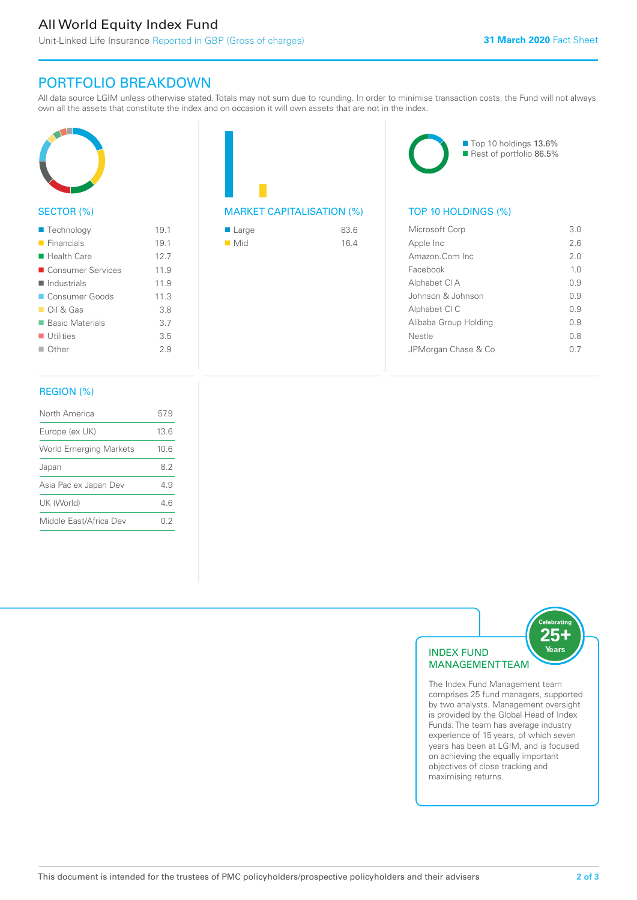# All World Equity Index Fund

Unit-Linked Life Insurance Reported in GBP (Gross of charges)

# PORTFOLIO BREAKDOWN

All data source LGIM unless otherwise stated. Totals may not sum due to rounding. In order to minimise transaction costs, the Fund will not always own all the assets that constitute the index and on occasion it will own assets that are not in the index.



# SECTOR (%)

| $\blacksquare$ Technology  | 19.1 |
|----------------------------|------|
| $\blacksquare$ Financials  | 19.1 |
| $\blacksquare$ Health Care | 12.7 |
| ■ Consumer Services        | 11.9 |
| Industrials                | 11.9 |
| Consumer Goods             | 11.3 |
| $\Box$ Oil & Gas           | 38   |
| ■ Basic Materials          | 3.7  |
| $\blacksquare$ Utilities   | 3.5  |
| $\Box$ Other               | 29   |
|                            |      |

# REGION (%)

| North America                 | 57.9 |
|-------------------------------|------|
| Europe (ex UK)                | 136  |
| <b>World Emerging Markets</b> | 10.6 |
| Japan                         | 82   |
| Asia Pac ex Japan Dev         | 49   |
| UK (World)                    | 46   |
| Middle East/Africa Dev        | 02   |
|                               |      |

# MARKET CAPITALISATION (%) TOP 10 HOLDINGS (%)

| ■ Large            | 83.6 |
|--------------------|------|
| $\blacksquare$ Mid | 16.4 |



| Microsoft Corp        | 3 O            |
|-----------------------|----------------|
| Apple Inc             | 26             |
| Amazon Com Inc        | 2 O            |
| Facebook              | 1 <sub>0</sub> |
| Alphabet CI A         | O 9            |
| Johnson & Johnson     | 09             |
| Alphabet CI C         | O 9            |
| Alibaba Group Holding | O 9            |
| Nestle                | 0.8            |
| JPMorgan Chase & Co   |                |
|                       |                |



The Index Fund Management team comprises 25 fund managers, supported by two analysts. Management oversight is provided by the Global Head of Index Funds. The team has average industry experience of 15 years, of which seven years has been at LGIM, and is focused on achieving the equally important objectives of close tracking and maximising returns.